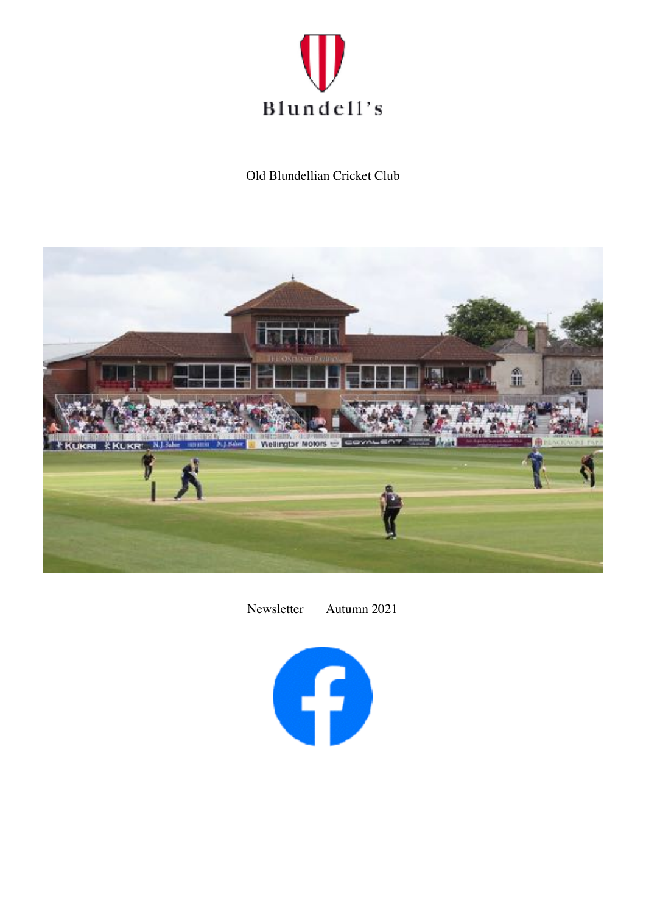

Old Blundellian Cricket Club



Newsletter Autumn 2021

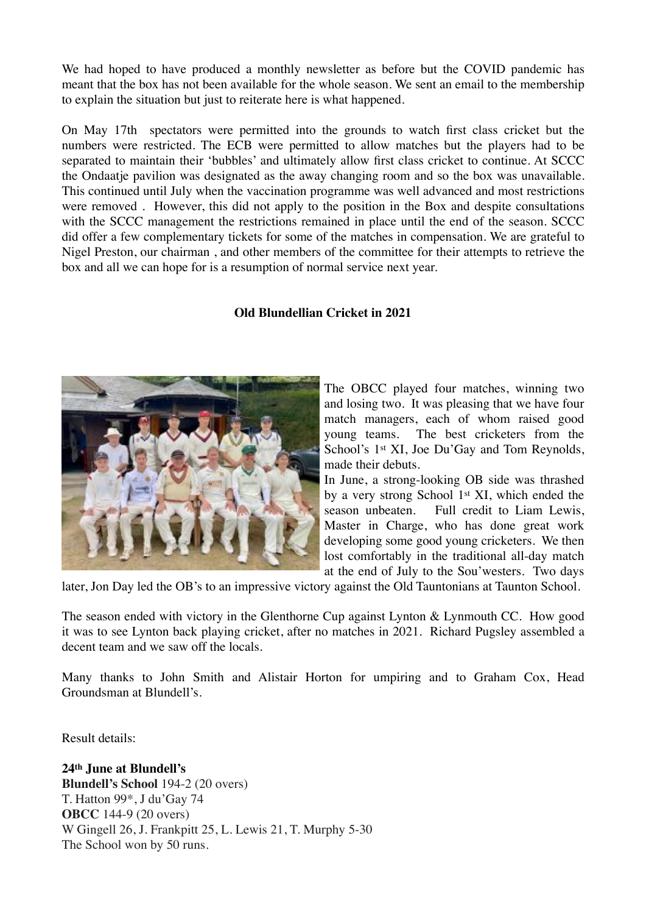We had hoped to have produced a monthly newsletter as before but the COVID pandemic has meant that the box has not been available for the whole season. We sent an email to the membership to explain the situation but just to reiterate here is what happened.

On May 17th spectators were permitted into the grounds to watch first class cricket but the numbers were restricted. The ECB were permitted to allow matches but the players had to be separated to maintain their 'bubbles' and ultimately allow first class cricket to continue. At SCCC the Ondaatie pavilion was designated as the away changing room and so the box was unavailable. This continued until July when the vaccination programme was well advanced and most restrictions were removed . However, this did not apply to the position in the Box and despite consultations with the SCCC management the restrictions remained in place until the end of the season. SCCC did offer a few complementary tickets for some of the matches in compensation. We are grateful to Nigel Preston, our chairman , and other members of the committee for their attempts to retrieve the box and all we can hope for is a resumption of normal service next year.

### **Old Blundellian Cricket in 2021**



The OBCC played four matches, winning two and losing two. It was pleasing that we have four match managers, each of whom raised good young teams. The best cricketers from the School's 1<sup>st</sup> XI, Joe Du'Gay and Tom Reynolds, made their debuts.

In June, a strong-looking OB side was thrashed by a very strong School 1st XI, which ended the season unbeaten. Full credit to Liam Lewis, Master in Charge, who has done great work developing some good young cricketers. We then lost comfortably in the traditional all-day match at the end of July to the Sou'westers. Two days

later, Jon Day led the OB's to an impressive victory against the Old Tauntonians at Taunton School.

The season ended with victory in the Glenthorne Cup against Lynton & Lynmouth CC. How good it was to see Lynton back playing cricket, after no matches in 2021. Richard Pugsley assembled a decent team and we saw off the locals.

Many thanks to John Smith and Alistair Horton for umpiring and to Graham Cox, Head Groundsman at Blundell's.

Result details:

**24th June at Blundell's Blundell's School** 194-2 (20 overs) T. Hatton 99\*, J du'Gay 74 **OBCC** 144-9 (20 overs) W Gingell 26, J. Frankpitt 25, L. Lewis 21, T. Murphy 5-30 The School won by 50 runs.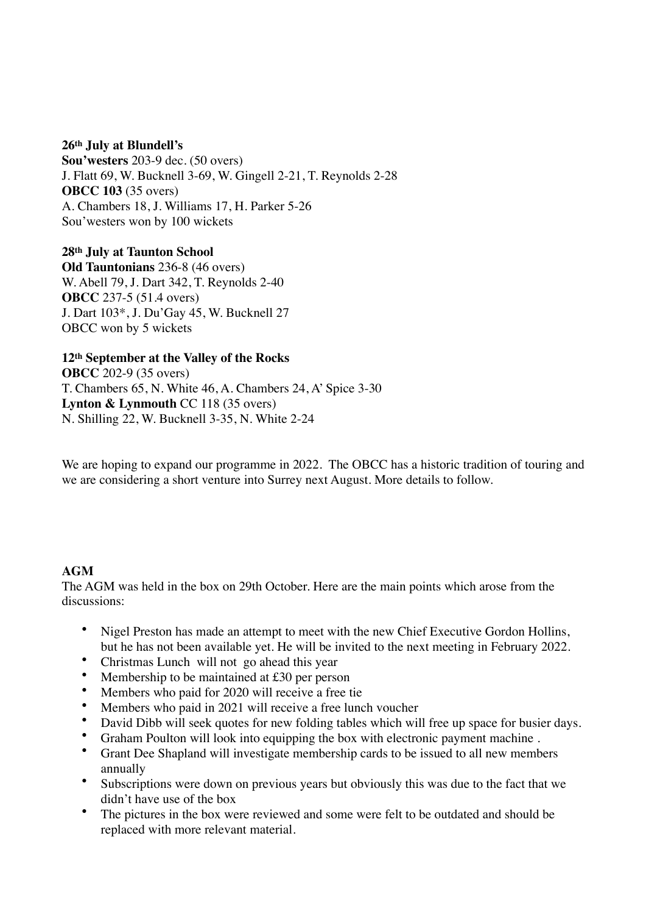#### **26th July at Blundell's**

**Sou'westers** 203-9 dec. (50 overs) J. Flatt 69, W. Bucknell 3-69, W. Gingell 2-21, T. Reynolds 2-28 **OBCC 103** (35 overs) A. Chambers 18, J. Williams 17, H. Parker 5-26 Sou'westers won by 100 wickets

**28th July at Taunton School Old Tauntonians** 236-8 (46 overs) W. Abell 79, J. Dart 342, T. Reynolds 2-40 **OBCC** 237-5 (51.4 overs) J. Dart 103\*, J. Du'Gay 45, W. Bucknell 27 OBCC won by 5 wickets

# **12th September at the Valley of the Rocks OBCC** 202-9 (35 overs) T. Chambers 65, N. White 46, A. Chambers 24, A' Spice 3-30 **Lynton & Lynmouth** CC 118 (35 overs) N. Shilling 22, W. Bucknell 3-35, N. White 2-24

We are hoping to expand our programme in 2022. The OBCC has a historic tradition of touring and we are considering a short venture into Surrey next August. More details to follow.

### **AGM**

The AGM was held in the box on 29th October. Here are the main points which arose from the discussions:

- Nigel Preston has made an attempt to meet with the new Chief Executive Gordon Hollins, but he has not been available yet. He will be invited to the next meeting in February 2022.
- Christmas Lunch will not go ahead this year
- Membership to be maintained at £30 per person
- Members who paid for 2020 will receive a free tie
- Members who paid in 2021 will receive a free lunch voucher
- David Dibb will seek quotes for new folding tables which will free up space for busier days.
- Graham Poulton will look into equipping the box with electronic payment machine .
- Grant Dee Shapland will investigate membership cards to be issued to all new members annually
- Subscriptions were down on previous years but obviously this was due to the fact that we didn't have use of the box
- The pictures in the box were reviewed and some were felt to be outdated and should be replaced with more relevant material.